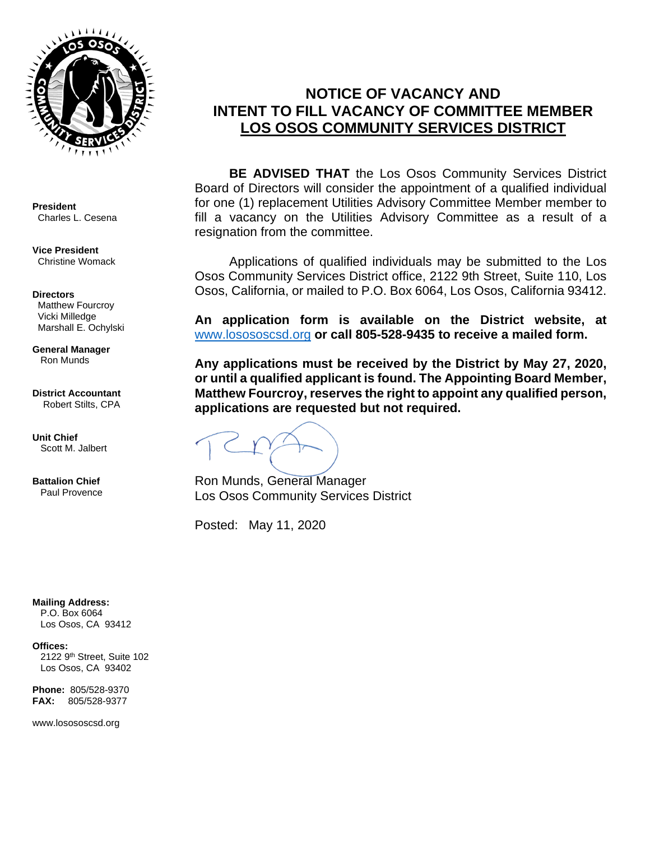

**President** Charles L. Cesena

**Vice President** Christine Womack

**Directors** Matthew Fourcroy Vicki Milledge Marshall E. Ochylski

**General Manager** Ron Munds

**District Accountant** Robert Stilts, CPA

**Unit Chief** Scott M. Jalbert

**Battalion Chief** Paul Provence

**Mailing Address:** P.O. Box 6064 Los Osos, CA 93412

**Offices:** 2122 9<sup>th</sup> Street, Suite 102 Los Osos, CA 93402

**Phone:** 805/528-9370 **FAX:** 805/528-9377

www.losososcsd.org

## **NOTICE OF VACANCY AND INTENT TO FILL VACANCY OF COMMITTEE MEMBER LOS OSOS COMMUNITY SERVICES DISTRICT**

**BE ADVISED THAT** the Los Osos Community Services District Board of Directors will consider the appointment of a qualified individual for one (1) replacement Utilities Advisory Committee Member member to fill a vacancy on the Utilities Advisory Committee as a result of a resignation from the committee.

Applications of qualified individuals may be submitted to the Los Osos Community Services District office, 2122 9th Street, Suite 110, Los Osos, California, or mailed to P.O. Box 6064, Los Osos, California 93412.

**An application form is available on the District website, at** [www.losososcsd.org](http://www.losososcsd.org/) **or call 805-528-9435 to receive a mailed form.** 

**Any applications must be received by the District by May 27, 2020, or until a qualified applicant is found. The Appointing Board Member, Matthew Fourcroy, reserves the right to appoint any qualified person, applications are requested but not required.**

Ron Munds, General Manager Los Osos Community Services District

Posted: May 11, 2020